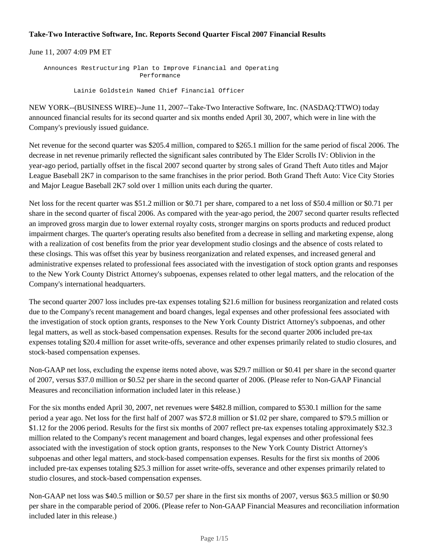## **Take-Two Interactive Software, Inc. Reports Second Quarter Fiscal 2007 Financial Results**

June 11, 2007 4:09 PM ET

 Announces Restructuring Plan to Improve Financial and Operating Performance

Lainie Goldstein Named Chief Financial Officer

NEW YORK--(BUSINESS WIRE)--June 11, 2007--Take-Two Interactive Software, Inc. (NASDAQ:TTWO) today announced financial results for its second quarter and six months ended April 30, 2007, which were in line with the Company's previously issued guidance.

Net revenue for the second quarter was \$205.4 million, compared to \$265.1 million for the same period of fiscal 2006. The decrease in net revenue primarily reflected the significant sales contributed by The Elder Scrolls IV: Oblivion in the year-ago period, partially offset in the fiscal 2007 second quarter by strong sales of Grand Theft Auto titles and Major League Baseball 2K7 in comparison to the same franchises in the prior period. Both Grand Theft Auto: Vice City Stories and Major League Baseball 2K7 sold over 1 million units each during the quarter.

Net loss for the recent quarter was \$51.2 million or \$0.71 per share, compared to a net loss of \$50.4 million or \$0.71 per share in the second quarter of fiscal 2006. As compared with the year-ago period, the 2007 second quarter results reflected an improved gross margin due to lower external royalty costs, stronger margins on sports products and reduced product impairment charges. The quarter's operating results also benefited from a decrease in selling and marketing expense, along with a realization of cost benefits from the prior year development studio closings and the absence of costs related to these closings. This was offset this year by business reorganization and related expenses, and increased general and administrative expenses related to professional fees associated with the investigation of stock option grants and responses to the New York County District Attorney's subpoenas, expenses related to other legal matters, and the relocation of the Company's international headquarters.

The second quarter 2007 loss includes pre-tax expenses totaling \$21.6 million for business reorganization and related costs due to the Company's recent management and board changes, legal expenses and other professional fees associated with the investigation of stock option grants, responses to the New York County District Attorney's subpoenas, and other legal matters, as well as stock-based compensation expenses. Results for the second quarter 2006 included pre-tax expenses totaling \$20.4 million for asset write-offs, severance and other expenses primarily related to studio closures, and stock-based compensation expenses.

Non-GAAP net loss, excluding the expense items noted above, was \$29.7 million or \$0.41 per share in the second quarter of 2007, versus \$37.0 million or \$0.52 per share in the second quarter of 2006. (Please refer to Non-GAAP Financial Measures and reconciliation information included later in this release.)

For the six months ended April 30, 2007, net revenues were \$482.8 million, compared to \$530.1 million for the same period a year ago. Net loss for the first half of 2007 was \$72.8 million or \$1.02 per share, compared to \$79.5 million or \$1.12 for the 2006 period. Results for the first six months of 2007 reflect pre-tax expenses totaling approximately \$32.3 million related to the Company's recent management and board changes, legal expenses and other professional fees associated with the investigation of stock option grants, responses to the New York County District Attorney's subpoenas and other legal matters, and stock-based compensation expenses. Results for the first six months of 2006 included pre-tax expenses totaling \$25.3 million for asset write-offs, severance and other expenses primarily related to studio closures, and stock-based compensation expenses.

Non-GAAP net loss was \$40.5 million or \$0.57 per share in the first six months of 2007, versus \$63.5 million or \$0.90 per share in the comparable period of 2006. (Please refer to Non-GAAP Financial Measures and reconciliation information included later in this release.)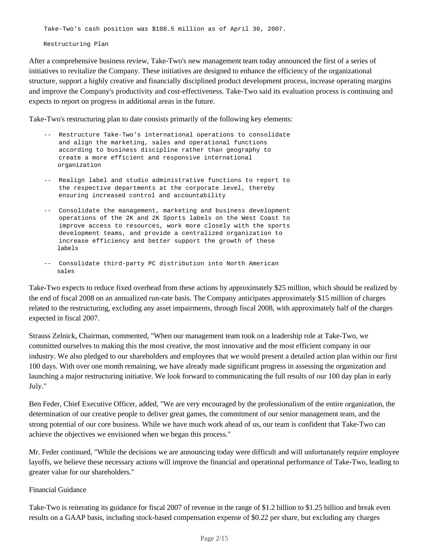Take-Two's cash position was \$108.5 million as of April 30, 2007.

Restructuring Plan

After a comprehensive business review, Take-Two's new management team today announced the first of a series of initiatives to revitalize the Company. These initiatives are designed to enhance the efficiency of the organizational structure, support a highly creative and financially disciplined product development process, increase operating margins and improve the Company's productivity and cost-effectiveness. Take-Two said its evaluation process is continuing and expects to report on progress in additional areas in the future.

Take-Two's restructuring plan to date consists primarily of the following key elements:

- -- Restructure Take-Two's international operations to consolidate and align the marketing, sales and operational functions according to business discipline rather than geography to create a more efficient and responsive international organization
- -- Realign label and studio administrative functions to report to the respective departments at the corporate level, thereby ensuring increased control and accountability
- -- Consolidate the management, marketing and business development operations of the 2K and 2K Sports labels on the West Coast to improve access to resources, work more closely with the sports development teams, and provide a centralized organization to increase efficiency and better support the growth of these labels
- -- Consolidate third-party PC distribution into North American sales

Take-Two expects to reduce fixed overhead from these actions by approximately \$25 million, which should be realized by the end of fiscal 2008 on an annualized run-rate basis. The Company anticipates approximately \$15 million of charges related to the restructuring, excluding any asset impairments, through fiscal 2008, with approximately half of the charges expected in fiscal 2007.

Strauss Zelnick, Chairman, commented, "When our management team took on a leadership role at Take-Two, we committed ourselves to making this the most creative, the most innovative and the most efficient company in our industry. We also pledged to our shareholders and employees that we would present a detailed action plan within our first 100 days. With over one month remaining, we have already made significant progress in assessing the organization and launching a major restructuring initiative. We look forward to communicating the full results of our 100 day plan in early July."

Ben Feder, Chief Executive Officer, added, "We are very encouraged by the professionalism of the entire organization, the determination of our creative people to deliver great games, the commitment of our senior management team, and the strong potential of our core business. While we have much work ahead of us, our team is confident that Take-Two can achieve the objectives we envisioned when we began this process."

Mr. Feder continued, "While the decisions we are announcing today were difficult and will unfortunately require employee layoffs, we believe these necessary actions will improve the financial and operational performance of Take-Two, leading to greater value for our shareholders."

### Financial Guidance

Take-Two is reiterating its guidance for fiscal 2007 of revenue in the range of \$1.2 billion to \$1.25 billion and break even results on a GAAP basis, including stock-based compensation expense of \$0.22 per share, but excluding any charges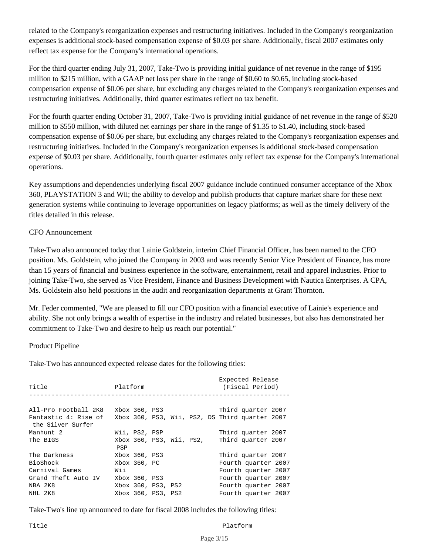related to the Company's reorganization expenses and restructuring initiatives. Included in the Company's reorganization expenses is additional stock-based compensation expense of \$0.03 per share. Additionally, fiscal 2007 estimates only reflect tax expense for the Company's international operations.

For the third quarter ending July 31, 2007, Take-Two is providing initial guidance of net revenue in the range of \$195 million to \$215 million, with a GAAP net loss per share in the range of \$0.60 to \$0.65, including stock-based compensation expense of \$0.06 per share, but excluding any charges related to the Company's reorganization expenses and restructuring initiatives. Additionally, third quarter estimates reflect no tax benefit.

For the fourth quarter ending October 31, 2007, Take-Two is providing initial guidance of net revenue in the range of \$520 million to \$550 million, with diluted net earnings per share in the range of \$1.35 to \$1.40, including stock-based compensation expense of \$0.06 per share, but excluding any charges related to the Company's reorganization expenses and restructuring initiatives. Included in the Company's reorganization expenses is additional stock-based compensation expense of \$0.03 per share. Additionally, fourth quarter estimates only reflect tax expense for the Company's international operations.

Key assumptions and dependencies underlying fiscal 2007 guidance include continued consumer acceptance of the Xbox 360, PLAYSTATION 3 and Wii; the ability to develop and publish products that capture market share for these next generation systems while continuing to leverage opportunities on legacy platforms; as well as the timely delivery of the titles detailed in this release.

## CFO Announcement

Take-Two also announced today that Lainie Goldstein, interim Chief Financial Officer, has been named to the CFO position. Ms. Goldstein, who joined the Company in 2003 and was recently Senior Vice President of Finance, has more than 15 years of financial and business experience in the software, entertainment, retail and apparel industries. Prior to joining Take-Two, she served as Vice President, Finance and Business Development with Nautica Enterprises. A CPA, Ms. Goldstein also held positions in the audit and reorganization departments at Grant Thornton.

Mr. Feder commented, "We are pleased to fill our CFO position with a financial executive of Lainie's experience and ability. She not only brings a wealth of expertise in the industry and related businesses, but also has demonstrated her commitment to Take-Two and desire to help us reach our potential."

## Product Pipeline

Take-Two has announced expected release dates for the following titles:

| Title                                     | Platform                                       | Expected Release<br>(Fiscal Period) |
|-------------------------------------------|------------------------------------------------|-------------------------------------|
|                                           |                                                |                                     |
| All-Pro Football 2K8                      | Xbox 360, PS3                                  | Third quarter 2007                  |
| Fantastic 4: Rise of<br>the Silver Surfer | Xbox 360, PS3, Wii, PS2, DS Third quarter 2007 |                                     |
| Manhunt 2                                 | Wii, PS2, PSP                                  | Third quarter 2007                  |
| The BIGS                                  | Xbox 360, PS3, Wii, PS2,<br>PSP                | Third quarter 2007                  |
| The Darkness                              | Xbox 360, PS3                                  | Third quarter 2007                  |
| BioShock                                  | Xbox 360. PC                                   | Fourth quarter 2007                 |
| Carnival Games                            | Wii                                            | Fourth quarter 2007                 |
| Grand Theft Auto IV                       | Xbox 360, PS3                                  | Fourth quarter 2007                 |
| NBA 2K8                                   | Xbox 360, PS3, PS2                             | Fourth quarter 2007                 |
| NHL 2K8                                   | Xbox 360, PS3, PS2                             | Fourth quarter 2007                 |

Take-Two's line up announced to date for fiscal 2008 includes the following titles: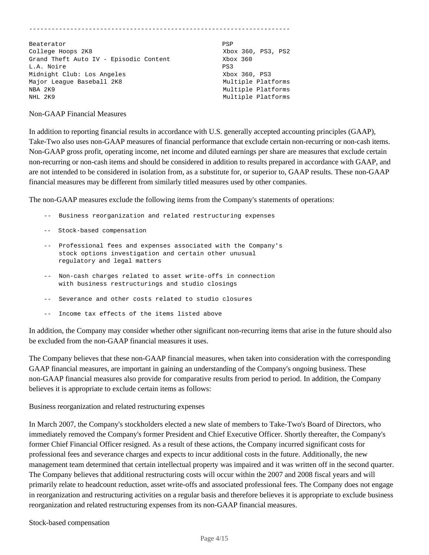| Beaterator                             | PSP                |
|----------------------------------------|--------------------|
| College Hoops 2K8                      | Xbox 360, PS3, PS2 |
| Grand Theft Auto IV - Episodic Content | Xbox 360           |
| L.A. Noire                             | PS3                |
| Midnight Club: Los Angeles             | Xbox 360, PS3      |
| Major League Baseball 2K8              | Multiple Platforms |
| NBA 2K9                                | Multiple Platforms |
| NHL 2K9                                | Multiple Platforms |

#### Non-GAAP Financial Measures

In addition to reporting financial results in accordance with U.S. generally accepted accounting principles (GAAP), Take-Two also uses non-GAAP measures of financial performance that exclude certain non-recurring or non-cash items. Non-GAAP gross profit, operating income, net income and diluted earnings per share are measures that exclude certain non-recurring or non-cash items and should be considered in addition to results prepared in accordance with GAAP, and are not intended to be considered in isolation from, as a substitute for, or superior to, GAAP results. These non-GAAP financial measures may be different from similarly titled measures used by other companies.

The non-GAAP measures exclude the following items from the Company's statements of operations:

- -- Business reorganization and related restructuring expenses
- -- Stock-based compensation
- -- Professional fees and expenses associated with the Company's stock options investigation and certain other unusual regulatory and legal matters
- -- Non-cash charges related to asset write-offs in connection with business restructurings and studio closings
- -- Severance and other costs related to studio closures
- -- Income tax effects of the items listed above

In addition, the Company may consider whether other significant non-recurring items that arise in the future should also be excluded from the non-GAAP financial measures it uses.

The Company believes that these non-GAAP financial measures, when taken into consideration with the corresponding GAAP financial measures, are important in gaining an understanding of the Company's ongoing business. These non-GAAP financial measures also provide for comparative results from period to period. In addition, the Company believes it is appropriate to exclude certain items as follows:

#### Business reorganization and related restructuring expenses

In March 2007, the Company's stockholders elected a new slate of members to Take-Two's Board of Directors, who immediately removed the Company's former President and Chief Executive Officer. Shortly thereafter, the Company's former Chief Financial Officer resigned. As a result of these actions, the Company incurred significant costs for professional fees and severance charges and expects to incur additional costs in the future. Additionally, the new management team determined that certain intellectual property was impaired and it was written off in the second quarter. The Company believes that additional restructuring costs will occur within the 2007 and 2008 fiscal years and will primarily relate to headcount reduction, asset write-offs and associated professional fees. The Company does not engage in reorganization and restructuring activities on a regular basis and therefore believes it is appropriate to exclude business reorganization and related restructuring expenses from its non-GAAP financial measures.

#### Stock-based compensation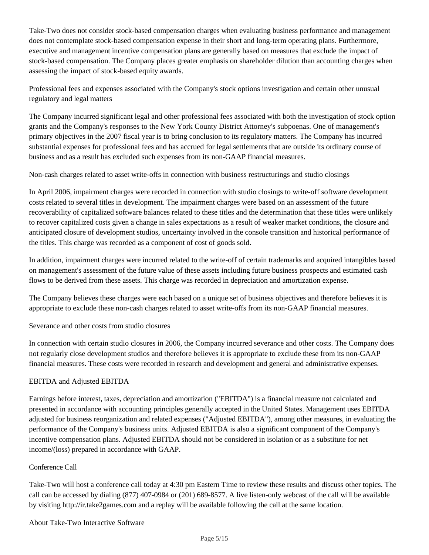Take-Two does not consider stock-based compensation charges when evaluating business performance and management does not contemplate stock-based compensation expense in their short and long-term operating plans. Furthermore, executive and management incentive compensation plans are generally based on measures that exclude the impact of stock-based compensation. The Company places greater emphasis on shareholder dilution than accounting charges when assessing the impact of stock-based equity awards.

Professional fees and expenses associated with the Company's stock options investigation and certain other unusual regulatory and legal matters

The Company incurred significant legal and other professional fees associated with both the investigation of stock option grants and the Company's responses to the New York County District Attorney's subpoenas. One of management's primary objectives in the 2007 fiscal year is to bring conclusion to its regulatory matters. The Company has incurred substantial expenses for professional fees and has accrued for legal settlements that are outside its ordinary course of business and as a result has excluded such expenses from its non-GAAP financial measures.

Non-cash charges related to asset write-offs in connection with business restructurings and studio closings

In April 2006, impairment charges were recorded in connection with studio closings to write-off software development costs related to several titles in development. The impairment charges were based on an assessment of the future recoverability of capitalized software balances related to these titles and the determination that these titles were unlikely to recover capitalized costs given a change in sales expectations as a result of weaker market conditions, the closure and anticipated closure of development studios, uncertainty involved in the console transition and historical performance of the titles. This charge was recorded as a component of cost of goods sold.

In addition, impairment charges were incurred related to the write-off of certain trademarks and acquired intangibles based on management's assessment of the future value of these assets including future business prospects and estimated cash flows to be derived from these assets. This charge was recorded in depreciation and amortization expense.

The Company believes these charges were each based on a unique set of business objectives and therefore believes it is appropriate to exclude these non-cash charges related to asset write-offs from its non-GAAP financial measures.

Severance and other costs from studio closures

In connection with certain studio closures in 2006, the Company incurred severance and other costs. The Company does not regularly close development studios and therefore believes it is appropriate to exclude these from its non-GAAP financial measures. These costs were recorded in research and development and general and administrative expenses.

# EBITDA and Adjusted EBITDA

Earnings before interest, taxes, depreciation and amortization ("EBITDA") is a financial measure not calculated and presented in accordance with accounting principles generally accepted in the United States. Management uses EBITDA adjusted for business reorganization and related expenses ("Adjusted EBITDA"), among other measures, in evaluating the performance of the Company's business units. Adjusted EBITDA is also a significant component of the Company's incentive compensation plans. Adjusted EBITDA should not be considered in isolation or as a substitute for net income/(loss) prepared in accordance with GAAP.

# Conference Call

Take-Two will host a conference call today at 4:30 pm Eastern Time to review these results and discuss other topics. The call can be accessed by dialing (877) 407-0984 or (201) 689-8577. A live listen-only webcast of the call will be available by visiting http://ir.take2games.com and a replay will be available following the call at the same location.

## About Take-Two Interactive Software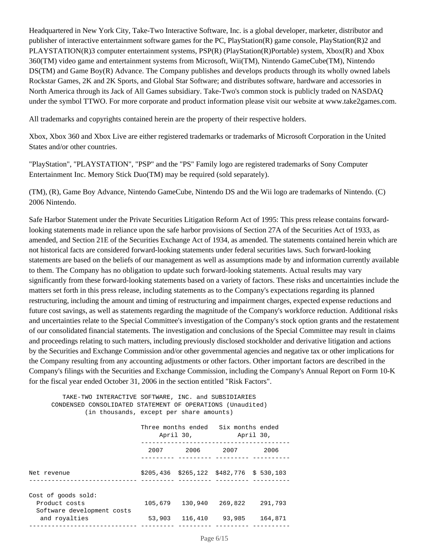Headquartered in New York City, Take-Two Interactive Software, Inc. is a global developer, marketer, distributor and publisher of interactive entertainment software games for the PC, PlayStation(R) game console, PlayStation(R)2 and PLAYSTATION(R)3 computer entertainment systems, PSP(R) (PlayStation(R)Portable) system, Xbox(R) and Xbox 360(TM) video game and entertainment systems from Microsoft, Wii(TM), Nintendo GameCube(TM), Nintendo DS(TM) and Game Boy(R) Advance. The Company publishes and develops products through its wholly owned labels Rockstar Games, 2K and 2K Sports, and Global Star Software; and distributes software, hardware and accessories in North America through its Jack of All Games subsidiary. Take-Two's common stock is publicly traded on NASDAQ under the symbol TTWO. For more corporate and product information please visit our website at www.take2games.com.

All trademarks and copyrights contained herein are the property of their respective holders.

Xbox, Xbox 360 and Xbox Live are either registered trademarks or trademarks of Microsoft Corporation in the United States and/or other countries.

"PlayStation", "PLAYSTATION", "PSP" and the "PS" Family logo are registered trademarks of Sony Computer Entertainment Inc. Memory Stick Duo(TM) may be required (sold separately).

(TM), (R), Game Boy Advance, Nintendo GameCube, Nintendo DS and the Wii logo are trademarks of Nintendo. (C) 2006 Nintendo.

Safe Harbor Statement under the Private Securities Litigation Reform Act of 1995: This press release contains forwardlooking statements made in reliance upon the safe harbor provisions of Section 27A of the Securities Act of 1933, as amended, and Section 21E of the Securities Exchange Act of 1934, as amended. The statements contained herein which are not historical facts are considered forward-looking statements under federal securities laws. Such forward-looking statements are based on the beliefs of our management as well as assumptions made by and information currently available to them. The Company has no obligation to update such forward-looking statements. Actual results may vary significantly from these forward-looking statements based on a variety of factors. These risks and uncertainties include the matters set forth in this press release, including statements as to the Company's expectations regarding its planned restructuring, including the amount and timing of restructuring and impairment charges, expected expense reductions and future cost savings, as well as statements regarding the magnitude of the Company's workforce reduction. Additional risks and uncertainties relate to the Special Committee's investigation of the Company's stock option grants and the restatement of our consolidated financial statements. The investigation and conclusions of the Special Committee may result in claims and proceedings relating to such matters, including previously disclosed stockholder and derivative litigation and actions by the Securities and Exchange Commission and/or other governmental agencies and negative tax or other implications for the Company resulting from any accounting adjustments or other factors. Other important factors are described in the Company's filings with the Securities and Exchange Commission, including the Company's Annual Report on Form 10-K for the fiscal year ended October 31, 2006 in the section entitled "Risk Factors".

 TAKE-TWO INTERACTIVE SOFTWARE, INC. and SUBSIDIARIES CONDENSED CONSOLIDATED STATEMENT OF OPERATIONS (Unaudited) (in thousands, except per share amounts) Three months ended Six months ended April 30, April 30, ---------------------------------------- 2007 2006 2007 2006 --------- --------- --------- ----------Net revenue \$205,436 \$265,122 \$482,776 \$ 530,103 ----------------------------- --------- --------- --------- ----------Cost of goods sold: Product costs 105,679 130,940 269,822 291,793 Software development costs and royalties 63,903 116,410 93,985 164,871 ----------------------------- --------- --------- --------- ----------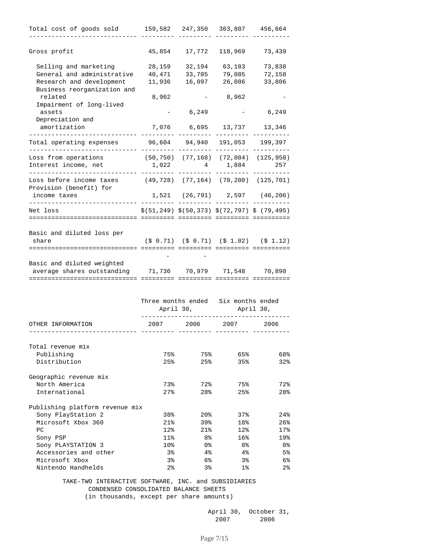| Total cost of goods sold                                     |                   | 159,582 247,350                 | 363,807                       | 456,664                                                                                     |  |
|--------------------------------------------------------------|-------------------|---------------------------------|-------------------------------|---------------------------------------------------------------------------------------------|--|
|                                                              |                   |                                 |                               |                                                                                             |  |
| Gross profit                                                 | 45,854            | 17,772                          | 118,969                       | 73,439                                                                                      |  |
| Selling and marketing                                        | 28,159            | 32,194                          | 63,183                        | 73,838                                                                                      |  |
| General and administrative                                   | 40,471            | 33,705                          | 79,085                        | 72,158                                                                                      |  |
| Research and development                                     | 11,936            | 16,097                          | 26,086                        | 33,806                                                                                      |  |
| Business reorganization and                                  |                   |                                 |                               |                                                                                             |  |
| related                                                      | 8,962             |                                 | 8,962                         |                                                                                             |  |
| Impairment of long-lived                                     |                   |                                 |                               |                                                                                             |  |
| assets                                                       |                   | 6,249                           |                               | 6,249                                                                                       |  |
| Depreciation and                                             |                   |                                 |                               |                                                                                             |  |
| amortization                                                 |                   | 7,076 6,695 13,737 13,346       |                               |                                                                                             |  |
|                                                              |                   |                                 |                               |                                                                                             |  |
| Total operating expenses                                     | 96,604            | 94,940                          |                               | 191,053 199,397                                                                             |  |
| Loss from operations                                         |                   |                                 |                               | $(50, 750)$ $(77, 168)$ $(72, 084)$ $(125, 958)$                                            |  |
| Interest income, net                                         | 1,022             |                                 | 4 1,884                       | 257                                                                                         |  |
|                                                              |                   |                                 |                               |                                                                                             |  |
| Loss before income taxes                                     |                   |                                 |                               | $(49, 728)$ $(77, 164)$ $(70, 200)$ $(125, 701)$                                            |  |
| Provision (benefit) for                                      |                   |                                 |                               |                                                                                             |  |
| income taxes                                                 |                   |                                 |                               | $1,521$ (26,791) 2,597 (46,206)                                                             |  |
| Net loss                                                     |                   |                                 |                               | $\frac{1}{5}$ (51,249) $\frac{1}{5}$ (50,373) $\frac{1}{5}$ (72,797) $\frac{1}{5}$ (79,495) |  |
|                                                              |                   |                                 |                               |                                                                                             |  |
| Basic and diluted loss per                                   |                   |                                 |                               |                                                                                             |  |
| share                                                        |                   |                                 |                               | $(\frac{1}{2} 0.71)$ $(\frac{1}{2} 0.71)$ $(\frac{1}{2} 1.02)$ $(\frac{1}{2} 1.12)$         |  |
|                                                              |                   |                                 |                               |                                                                                             |  |
|                                                              |                   |                                 |                               |                                                                                             |  |
| Basic and diluted weighted                                   |                   |                                 |                               |                                                                                             |  |
| average shares outstanding<br>______________________________ |                   | 71,736 70,979 71,548 70,890     |                               |                                                                                             |  |
|                                                              |                   |                                 |                               |                                                                                             |  |
|                                                              |                   |                                 |                               |                                                                                             |  |
|                                                              |                   | Three months ended<br>April 30, | Six months ended<br>April 30, |                                                                                             |  |
|                                                              |                   |                                 |                               |                                                                                             |  |
| OTHER INFORMATION                                            | 2007              | 2006                            | 2007                          | 2006                                                                                        |  |
|                                                              |                   |                                 |                               |                                                                                             |  |
| Total revenue mix                                            |                   |                                 |                               |                                                                                             |  |
| Publishing                                                   | 75%               | 75%                             | 65%                           | 68%                                                                                         |  |
| Distribution                                                 | 25%               | 25%                             | 35%                           | 32%                                                                                         |  |
| Geographic revenue mix                                       |                   |                                 |                               |                                                                                             |  |
| North America                                                | 73%               | 72%                             | 75%                           | 72%                                                                                         |  |
| International                                                | $27$ $\,^{\circ}$ | 28%                             | 25%                           | 28%                                                                                         |  |
| Publishing platform revenue mix                              |                   |                                 |                               |                                                                                             |  |
| Sony PlayStation 2                                           | 38%               | 20%                             | 37%                           | 24%                                                                                         |  |
| Microsoft Xbox 360                                           | 21%               | 39%                             | 18%                           | $26$ $%$                                                                                    |  |
| PC                                                           | 12%               | 21%                             | 12%                           | 17%                                                                                         |  |
| Sony PSP                                                     | 11%               | 8%                              | 16%                           | 19%                                                                                         |  |
| Sony PLAYSTATION 3                                           | 10 <sub>8</sub>   | 0%                              | 8%                            | 0 %                                                                                         |  |
| Accessories and other                                        | 38                | 4%                              | 4%                            | 5%                                                                                          |  |
| Microsoft Xbox                                               | 38                | 6%                              | 38                            | 6%                                                                                          |  |
| Nintendo Handhelds                                           | 2%                | 38                              | $1\%$                         | 2%                                                                                          |  |
|                                                              |                   |                                 |                               |                                                                                             |  |

 TAKE-TWO INTERACTIVE SOFTWARE, INC. and SUBSIDIARIES CONDENSED CONSOLIDATED BALANCE SHEETS (in thousands, except per share amounts)

> April 30, October 31, 2007 2006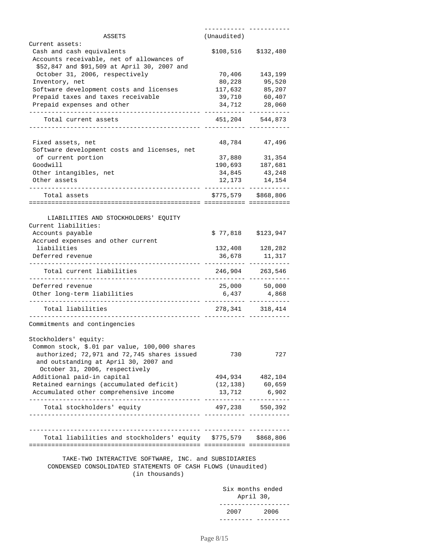| ASSETS                                                                        | (Unaudited)       |                       |
|-------------------------------------------------------------------------------|-------------------|-----------------------|
| Current assets:                                                               |                   |                       |
| Cash and cash equivalents                                                     | \$108,516         | \$132,480             |
| Accounts receivable, net of allowances of                                     |                   |                       |
| \$52,847 and \$91,509 at April 30, 2007 and                                   |                   |                       |
| October 31, 2006, respectively                                                | 70,406            | 143,199               |
| Inventory, net                                                                | 80,228            | 95,520                |
| Software development costs and licenses<br>Prepaid taxes and taxes receivable | 117,632<br>39,710 | 85,207<br>60,407      |
|                                                                               | 34,712            |                       |
| Prepaid expenses and other                                                    |                   | 28,060                |
| Total current assets                                                          |                   | 451, 204 544, 873     |
| Fixed assets, net                                                             | 48,784            | 47,496                |
| Software development costs and licenses, net                                  |                   |                       |
| of current portion                                                            | 37,880            | 31,354                |
| Goodwill                                                                      | 190,693           | 187,681               |
| Other intangibles, net                                                        | 34,845            | 43,248                |
| Other assets                                                                  | 12,173            | 14,154                |
|                                                                               |                   |                       |
| Total assets                                                                  |                   | $$775,579$ $$868,806$ |
|                                                                               |                   |                       |
| LIABILITIES AND STOCKHOLDERS' EQUITY                                          |                   |                       |
| Current liabilities:                                                          |                   |                       |
| Accounts payable                                                              | \$77,818          | \$123,947             |
| Accrued expenses and other current                                            |                   |                       |
| liabilities                                                                   |                   | 132,408 128,282       |
| Deferred revenue                                                              | 36,678            | 11,317                |
| Total current liabilities                                                     |                   | 246,904 263,546       |
| Deferred revenue                                                              | 25,000            | 50,000                |
| Other long-term liabilities                                                   | 6,437             | 4,868                 |
| Total liabilities                                                             |                   | 278, 341 318, 414     |
| Commitments and contingencies                                                 |                   |                       |
| Stockholders' equity:                                                         |                   |                       |
| Common stock, \$.01 par value, 100,000 shares                                 |                   |                       |
| authorized; 72,971 and 72,745 shares issued                                   | 730               | 727                   |
| and outstanding at April 30, 2007 and                                         |                   |                       |
| October 31, 2006, respectively                                                |                   |                       |
| Additional paid-in capital                                                    |                   | 494,934 482,104       |
| Retained earnings (accumulated deficit)                                       |                   | $(12, 138)$ 60,659    |
| Accumulated other comprehensive income                                        | 13,712            | 6,902                 |
| Total stockholders' equity                                                    |                   | 497,238 550,392       |
| -----------------------                                                       |                   |                       |
| Total liabilities and stockholders' equity \$775,579 \$868,806                |                   |                       |
|                                                                               |                   |                       |
| TAKE-TWO INTERACTIVE SOFTWARE, INC. and SUBSIDIARIES                          |                   |                       |
| CONDENSED CONSOLIDATED STATEMENTS OF CASH FLOWS (Unaudited)                   |                   |                       |
|                                                                               |                   |                       |
| (in thousands)                                                                |                   |                       |

 Six months ended April 30, -------------------2007 2006 --------- ---------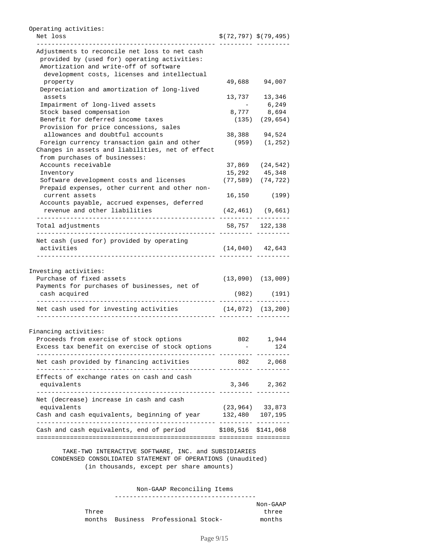| Net loss                                                                                  | $$(72, 797)$ $$(79, 495)$ |                                                              |
|-------------------------------------------------------------------------------------------|---------------------------|--------------------------------------------------------------|
| Adjustments to reconcile net loss to net cash                                             |                           |                                                              |
| provided by (used for) operating activities:                                              |                           |                                                              |
| Amortization and write-off of software                                                    |                           |                                                              |
| development costs, licenses and intellectual                                              |                           |                                                              |
| property                                                                                  | 49,688                    | 94,007                                                       |
| Depreciation and amortization of long-lived                                               |                           |                                                              |
| assets                                                                                    |                           | 13,737 13,346                                                |
| Impairment of long-lived assets                                                           |                           | 6,249                                                        |
| Stock based compensation                                                                  | 8,777                     | 8,694                                                        |
| Benefit for deferred income taxes                                                         |                           | $(135)$ $(29, 654)$                                          |
| Provision for price concessions, sales                                                    |                           |                                                              |
| allowances and doubtful accounts                                                          |                           | 38,388 94,524                                                |
| Foreign currency transaction gain and other                                               |                           | $(959)$ $(1,252)$                                            |
| Changes in assets and liabilities, net of effect<br>from purchases of businesses:         |                           |                                                              |
| Accounts receivable                                                                       |                           |                                                              |
|                                                                                           |                           | 37,869 (24,542)                                              |
| Inventory                                                                                 |                           | 15,292 45,348                                                |
| Software development costs and licenses<br>Prepaid expenses, other current and other non- |                           | $(77, 589)$ $(74, 722)$                                      |
| current assets                                                                            |                           | 16,150 (199)                                                 |
| Accounts payable, accrued expenses, deferred                                              |                           |                                                              |
| revenue and other liabilities                                                             |                           | $(42, 461)$ $(9, 661)$                                       |
| Total adjustments                                                                         |                           | 58,757 122,138                                               |
|                                                                                           |                           |                                                              |
| Net cash (used for) provided by operating                                                 |                           |                                                              |
| activities                                                                                |                           | $(14, 040)$ $42, 643$                                        |
|                                                                                           |                           |                                                              |
| Investing activities:                                                                     |                           |                                                              |
| Purchase of fixed assets                                                                  |                           |                                                              |
| Payments for purchases of businesses, net of<br>cash acquired                             |                           |                                                              |
|                                                                                           |                           |                                                              |
| Net cash used for investing activities                                                    | $(14, 072)$ $(13, 200)$   |                                                              |
| Financing activities:                                                                     |                           |                                                              |
|                                                                                           |                           |                                                              |
| Proceeds from exercise of stock options                                                   |                           |                                                              |
| Excess tax benefit on exercise of stock options                                           |                           | $(13,090)$ $(13,009)$<br>$(982)$ $(191)$<br>802 1,944<br>124 |
| Net cash provided by financing activities                                                 | 802 2,068                 |                                                              |
| Effects of exchange rates on cash and cash                                                |                           |                                                              |
| equivalents                                                                               | 3,346 2,362               |                                                              |
| -----------<br>Net (decrease) increase in cash and cash                                   |                           |                                                              |
|                                                                                           |                           |                                                              |
| equivalents<br>Cash and cash equivalents, beginning of year 132,480 107,195               | $(23, 964)$ 33,873        |                                                              |

 CONDENSED CONSOLIDATED STATEMENT OF OPERATIONS (Unaudited) (in thousands, except per share amounts)

> Non-GAAP Reconciling Items --------------------------------------

 Non-GAAP Three three three three three three three three months Business Professional Stock- three three three three three months months Business Professional Stock-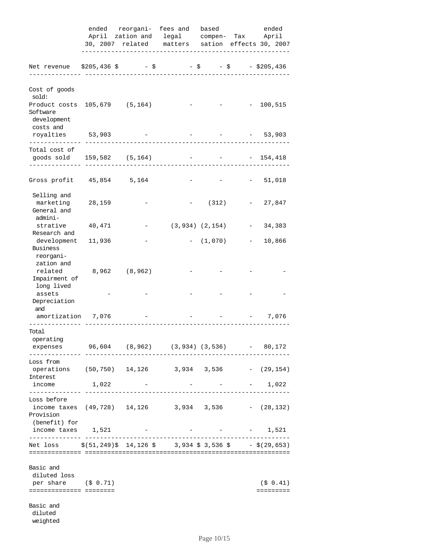|                                                                                                                                       |        |  | ended reorgani- fees and based                                                            |             | ended                                                     |           |         |
|---------------------------------------------------------------------------------------------------------------------------------------|--------|--|-------------------------------------------------------------------------------------------|-------------|-----------------------------------------------------------|-----------|---------|
|                                                                                                                                       |        |  | April zation and legal compen- Tax April                                                  |             |                                                           |           |         |
|                                                                                                                                       |        |  | 30, 2007 related matters sation effects 30, 2007<br>------------------------------------- |             |                                                           |           |         |
| Net revenue $$205,436$ \$ - \$                                                                                                        |        |  | $-$ \$ $-$ \$ $-$ \$205,436                                                               |             |                                                           |           |         |
| Cost of goods<br>sold:                                                                                                                |        |  |                                                                                           |             |                                                           |           |         |
| Product costs 105,679 (5,164)<br>Software<br>development<br>costs and                                                                 |        |  |                                                                                           |             | $ -$ 100,515                                              |           |         |
| royalties 53,903<br>. <u>.</u> .                                                                                                      |        |  |                                                                                           |             |                                                           | $-53,903$ |         |
| Total cost of<br>goods sold 159,582 (5,164)                                                                                           |        |  |                                                                                           |             | $ -$ 154,418                                              |           |         |
| Gross profit 45,854 5,164                                                                                                             |        |  |                                                                                           |             | $ -$ 51,018                                               |           |         |
| Selling and<br>marketing<br>General and                                                                                               | 28,159 |  |                                                                                           | (312)       | $\mathcal{L}_{\text{max}}$ and $\mathcal{L}_{\text{max}}$ |           | 27,847  |
| admini-<br>strative 40,471<br>Research and                                                                                            |        |  | $(3, 934)$ $(2, 154)$                                                                     |             |                                                           | $-34,383$ |         |
| development 11,936<br><b>Business</b><br>reorgani-                                                                                    |        |  |                                                                                           | $-$ (1,070) | $\sim$ $-$                                                |           | 10,866  |
| zation and<br>related 8,962 (8,962)<br>Impairment of<br>long lived                                                                    |        |  |                                                                                           |             |                                                           |           |         |
| assets<br>Depreciation<br>and                                                                                                         |        |  |                                                                                           |             |                                                           |           |         |
| amortization 7,076                                                                                                                    |        |  |                                                                                           |             | $\alpha = 0.0000$                                         |           | 7,076   |
| Total<br>operating<br>expenses 96,604 (8,962) (3,934) (3,536) - 80,172                                                                |        |  |                                                                                           |             |                                                           |           |         |
| Loss from<br>operations (50,750) 14,126 3,934 3,536 - (29,154)                                                                        |        |  |                                                                                           |             |                                                           |           |         |
| Interest<br>income<br>--------------                                                                                                  | 1,022  |  |                                                                                           |             |                                                           |           | 1,022   |
| Loss before<br>income taxes $(49, 728)$ 14, 126 3, 934 3, 536 - $(28, 132)$<br>Provision                                              |        |  |                                                                                           |             |                                                           |           |         |
| (benefit) for<br>income taxes 1,521<br>---------                                                                                      |        |  |                                                                                           |             | the control of the control of the con-                    |           | 1,521   |
| Net loss $\frac{1}{51}$ , 249) $\frac{2}{14}$ , 126 $\frac{2}{5}$ 3, 934 $\frac{2}{5}$ 3, 536 $\frac{2}{5}$ - $\frac{2}{5}$ (29, 653) |        |  |                                                                                           |             |                                                           |           |         |
| Basic and<br>diluted loss<br>per share $(5 \t0.71)$<br>=======================                                                        |        |  |                                                                                           |             |                                                           |           | (50.41) |
| Basic and<br>diluted<br>weighted                                                                                                      |        |  |                                                                                           |             |                                                           |           |         |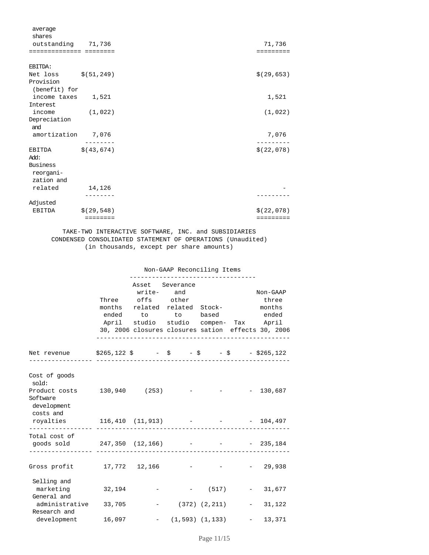| average                      |                     |             |
|------------------------------|---------------------|-------------|
| shares                       |                     |             |
| outstanding 71,736           |                     | 71,736      |
| ========================     |                     | =========   |
| EBITDA:                      |                     |             |
| Net loss $$(51, 249)$        |                     | \$(29, 653) |
| Provision                    |                     |             |
| (benefit) for                |                     |             |
| income taxes 1,521           |                     | 1,521       |
| Interest                     |                     |             |
| income                       | (1, 022)            | (1,022)     |
| Depreciation<br>and          |                     |             |
| amortization 7,076           |                     | 7,076       |
| EBITDA<br>Add:               | \$ (43, 674)        | \$(22,078)  |
| <b>Business</b><br>reorgani- |                     |             |
| zation and                   |                     |             |
| related                      | 14,126              |             |
|                              |                     |             |
| Adjusted                     |                     |             |
| EBITDA                       | \$(29, 548)         | \$(22,078)  |
|                              | $= = = = = = = = =$ | =========   |

 TAKE-TWO INTERACTIVE SOFTWARE, INC. and SUBSIDIARIES CONDENSED CONSOLIDATED STATEMENT OF OPERATIONS (Unaudited) (in thousands, except per share amounts)

|                                                                                                               | ------------------------------------                                                                                                                                                                                | Non-GAAP Reconciling Items   |                                 |                      |
|---------------------------------------------------------------------------------------------------------------|---------------------------------------------------------------------------------------------------------------------------------------------------------------------------------------------------------------------|------------------------------|---------------------------------|----------------------|
|                                                                                                               | Asset Severance<br>write- and<br>Three offs other<br>months related related Stock- months<br>ended to to based ended<br>April studio studio compen- Tax April<br>30, 2006 closures closures sation effects 30, 2006 |                              |                                 | Non-GAAP<br>three    |
| Net revenue $$265,122 \text{ }$\mathsf{S}$$ - $$$ - $$$ - $$$ - $$$ - $$265,122$                              |                                                                                                                                                                                                                     |                              |                                 |                      |
| Cost of goods<br>sold:<br>Product costs 130,940 (253) - - - - 130,687<br>Software<br>development<br>costs and |                                                                                                                                                                                                                     |                              |                                 |                      |
| royalties 116,410 (11,913) - - - 104,497                                                                      |                                                                                                                                                                                                                     |                              |                                 |                      |
| Total cost of                                                                                                 |                                                                                                                                                                                                                     |                              |                                 |                      |
| Gross profit 17,772 12,166 - - - - 29,938                                                                     |                                                                                                                                                                                                                     |                              |                                 |                      |
| Selling and<br>marketing 32,194<br>General and                                                                |                                                                                                                                                                                                                     |                              |                                 | $-$ (517) $-$ 31,677 |
| administrative 33,705<br>Research and                                                                         |                                                                                                                                                                                                                     | $-$ (372) (2,211) $-$ 31,122 |                                 |                      |
| development 16,097                                                                                            |                                                                                                                                                                                                                     |                              | $(1, 593)$ $(1, 133)$ - 13, 371 |                      |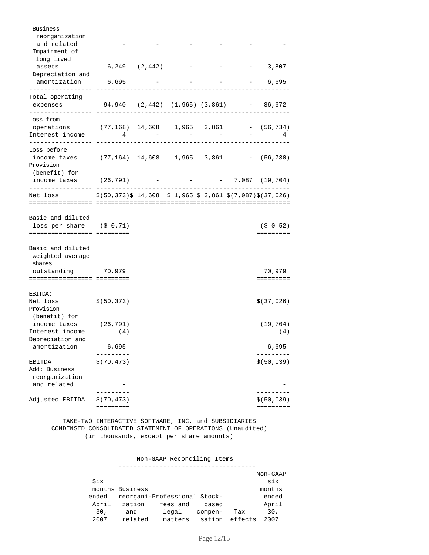| <b>Business</b><br>reorganization<br>and related<br>Impairment of<br>long lived<br>assets          | $6,249$ $(2,442)$                                         |                                         |  | 3,807                         |
|----------------------------------------------------------------------------------------------------|-----------------------------------------------------------|-----------------------------------------|--|-------------------------------|
| Depreciation and<br>amortization                                                                   | 6,695                                                     |                                         |  | $-6,695$                      |
| Total operating<br>expenses                                                                        |                                                           | 94,940 (2,442) (1,965) (3,861) - 86,672 |  |                               |
| Loss from<br>operations (77,168) 14,608 1,965 3,861 - (56,734)<br>Interest income                  | $\overline{4}$                                            |                                         |  |                               |
| Loss before<br>income taxes (77,164) $14,608$ 1,965 3,861 - (56,730)<br>Provision<br>(benefit) for |                                                           |                                         |  |                               |
| income taxes $(26,791)$ - - - 7,087 (19,704)                                                       |                                                           |                                         |  |                               |
| Net loss                                                                                           | \$(50,373)\$ 14,608 \$ 1,965 \$ 3,861 \$(7,087)\$(37,026) |                                         |  |                               |
| Basic and diluted                                                                                  |                                                           |                                         |  |                               |
| loss per share $(5 \t0.71)$<br>=============================                                       |                                                           |                                         |  | (50.52)                       |
| Basic and diluted<br>weighted average<br>shares                                                    |                                                           |                                         |  |                               |
| outstanding 70,979<br>=============================                                                |                                                           |                                         |  | 70,979<br>$=$ = = = = = = = = |
| EBITDA:                                                                                            |                                                           |                                         |  |                               |
| Net loss<br>Provision<br>(benefit) for                                                             | \$(50,373)                                                |                                         |  | \$(37,026)                    |
| income taxes $(26, 791)$<br>Interest income                                                        | (4)                                                       |                                         |  | (19, 704)<br>(4)              |
| Depreciation and<br>amortization                                                                   | 6,695                                                     |                                         |  | 6,695                         |
| EBITDA<br>Add: Business<br>reorganization                                                          | \$(70, 473)                                               |                                         |  | \$ (50, 039)                  |
| and related                                                                                        |                                                           |                                         |  |                               |
| Adjusted EBITDA                                                                                    | \$(70, 473)<br>=========                                  |                                         |  | \$ (50, 039)<br>=========     |

 TAKE-TWO INTERACTIVE SOFTWARE, INC. and SUBSIDIARIES CONDENSED CONSOLIDATED STATEMENT OF OPERATIONS (Unaudited) (in thousands, except per share amounts)

Non-GAAP Reconciling Items

|       |                 |                              |         |         | Non-GAAP        |
|-------|-----------------|------------------------------|---------|---------|-----------------|
| Six   |                 |                              |         |         | six             |
|       | months Business |                              |         |         | months          |
| ended |                 | reorgani-Professional Stock- |         |         | ended           |
| April | zation          | fees and                     | based   |         | April           |
| 30.   | and             | legal                        | compen- | Tax     | 30 <sub>1</sub> |
| 2007  | related         | matters                      | sation  | effects | 2007            |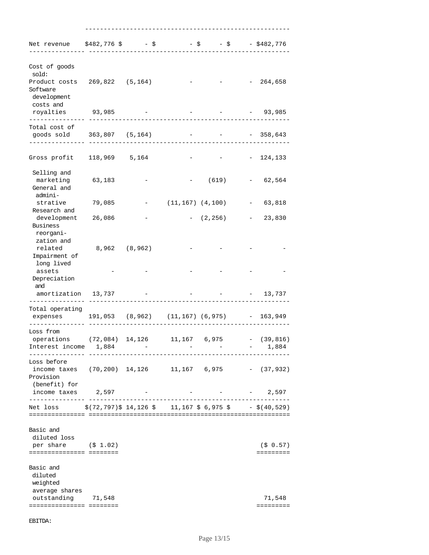| Net revenue \$482,776 \$ - \$ - \$ - \$ - \$482,776                                    |                 |                            |                        |                                              |                                                                     |                       |
|----------------------------------------------------------------------------------------|-----------------|----------------------------|------------------------|----------------------------------------------|---------------------------------------------------------------------|-----------------------|
| Cost of goods<br>sold:                                                                 |                 |                            |                        |                                              |                                                                     |                       |
| Product costs 269,822 (5,164)<br>Software<br>development                               |                 |                            |                        |                                              |                                                                     | $-264,658$            |
| costs and<br>royalties 93,985<br>. _ _ _ _ _ _ _ _ _ _ _ _ _ _                         |                 |                            |                        |                                              |                                                                     | $-93,985$             |
| Total cost of<br>goods sold 363,807 (5,164)                                            |                 |                            |                        |                                              |                                                                     | $-358,643$            |
| Gross profit 118,969 5,164                                                             |                 |                            |                        |                                              |                                                                     | $-124,133$            |
| Selling and<br>marketing<br>General and<br>admini-                                     | 63,183          |                            |                        | (619)                                        |                                                                     | $-62,564$             |
| strative<br>Research and                                                               | 79,085          |                            | $(11, 167)$ $(4, 100)$ |                                              | $\overline{\phantom{a}}$                                            | 63,818                |
| development<br>Business                                                                | 26,086          |                            |                        | $- (2, 256)$                                 |                                                                     | 23,830                |
| reorgani-<br>zation and<br>related<br>Impairment of                                    | 8,962 (8,962)   |                            |                        |                                              |                                                                     |                       |
| long lived<br>assets<br>Depreciation<br>and                                            |                 |                            |                        |                                              |                                                                     |                       |
| amortization 13,737                                                                    |                 |                            |                        |                                              |                                                                     | $-13,737$             |
| Total operating<br>expenses                                                            |                 |                            |                        | $191,053$ (8,962) (11,167) (6,975) - 163,949 |                                                                     |                       |
| Loss from<br>operations<br>Interest income 1,884                                       | (72,084) 14,126 |                            | 11,167 6,975           |                                              | $\omega_{\rm{max}}$ and $\omega_{\rm{max}}$ and $\omega_{\rm{max}}$ | $-$ (39,816)<br>1,884 |
| Loss before<br>income taxes $(70, 200)$ 14,126 11,167 6,975 - $(37, 932)$<br>Provision |                 |                            |                        |                                              |                                                                     |                       |
| (benefit) for<br>income taxes 2,597<br>-------------- -----                            |                 | -------------------------- |                        |                                              |                                                                     | 2,597                 |
| Net loss $\frac{1}{5}(72, 797)$ \$ 14,126 \$ 11,167 \$ 6,975 \$ - \$(40,529)           |                 |                            |                        |                                              |                                                                     |                       |
| Basic and<br>diluted loss<br>per share $( $ 1.02)$<br>=========================        |                 |                            |                        |                                              |                                                                     | (50.57)<br>=========  |
| Basic and<br>diluted<br>weighted<br>average shares<br>outstanding 71,548               |                 |                            |                        |                                              |                                                                     | 71,548<br>=========   |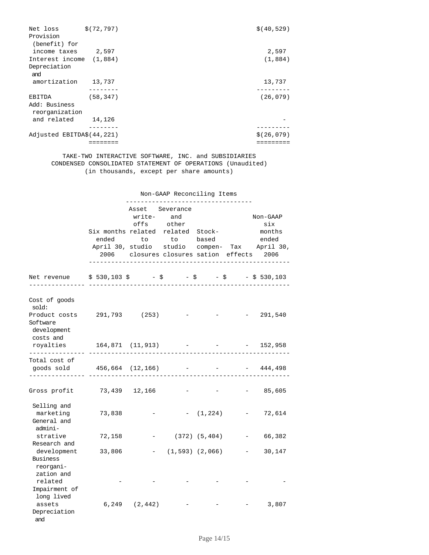| Net loss                        | \$ (72, 797) | \$ (40, 529) |
|---------------------------------|--------------|--------------|
| Provision                       |              |              |
| (benefit) for                   |              |              |
| income taxes                    | 2,597        | 2,597        |
| Interest income (1,884)         |              | (1,884)      |
| Depreciation<br>and             |              |              |
| amortization                    | 13,737       | 13,737       |
|                                 |              |              |
| EBITDA                          | (58, 347)    | (26, 079)    |
| Add: Business<br>reorganization |              |              |
| and related                     | 14,126       |              |
|                                 |              |              |
| Adjusted EBITDA\$(44,221)       |              | \$(26,079)   |
|                                 |              |              |

 TAKE-TWO INTERACTIVE SOFTWARE, INC. and SUBSIDIARIES CONDENSED CONSOLIDATED STATEMENT OF OPERATIONS (Unaudited) (in thousands, except per share amounts)

|                                                                                  |                                      | Non-GAAP Reconciling Items<br>-----------------------------                                                                                                     |  |                   |  |                                    |  |
|----------------------------------------------------------------------------------|--------------------------------------|-----------------------------------------------------------------------------------------------------------------------------------------------------------------|--|-------------------|--|------------------------------------|--|
|                                                                                  | Six months related related Stock-    | Asset Severance<br>write- and<br>offs other<br>ended to to based<br>April 30, studio studio compen- Tax April 30,<br>2006 closures closures sation effects 2006 |  |                   |  | Non-GAAP<br>six<br>months<br>ended |  |
| Net revenue                                                                      | $$530,103$ \$ - \$ - \$ - \$ 530,103 |                                                                                                                                                                 |  |                   |  |                                    |  |
| Cost of goods<br>sold:<br>Product costs 291,793 (253)<br>Software<br>development |                                      |                                                                                                                                                                 |  |                   |  | 291,540                            |  |
| costs and<br>royalties<br>-------------- ---                                     | $164,871$ (11,913) - - - 152,958     |                                                                                                                                                                 |  |                   |  |                                    |  |
| Total cost of<br>goods sold $456,664$ (12,166) - - - - 444,498                   |                                      |                                                                                                                                                                 |  |                   |  |                                    |  |
| Gross profit 73,439 12,166                                                       |                                      |                                                                                                                                                                 |  |                   |  | 85,605                             |  |
| Selling and<br>marketing<br>General and<br>admini-                               | 73,838                               |                                                                                                                                                                 |  | $-$ (1,224)       |  | $-72,614$                          |  |
| strative                                                                         | 72,158                               |                                                                                                                                                                 |  | - (372) (5,404)   |  | 66,382                             |  |
| Research and<br>development<br>Business<br>reorgani-<br>zation and               | 33,806                               |                                                                                                                                                                 |  | - (1,593) (2,066) |  | 30,147                             |  |
| related<br>Impairment of<br>long lived                                           |                                      |                                                                                                                                                                 |  |                   |  |                                    |  |
| assets<br>Depreciation<br>and                                                    |                                      | $6,249$ $(2,442)$                                                                                                                                               |  |                   |  | 3,807                              |  |